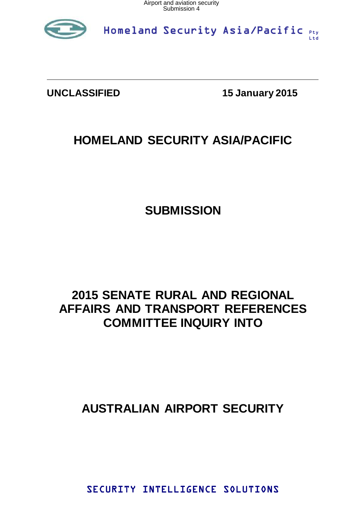

Homeland Security Asia/Pacific Pty Ltd

**UNCLASSIFIED 15 January 2015** 

# **HOMELAND SECURITY ASIA/PACIFIC**

# **SUBMISSION**

# **2015 SENATE RURAL AND REGIONAL AFFAIRS AND TRANSPORT REFERENCES COMMITTEE INQUIRY INTO**

# **AUSTRALIAN AIRPORT SECURITY**

SECURITY INTELLIGENCE SOLUTIONS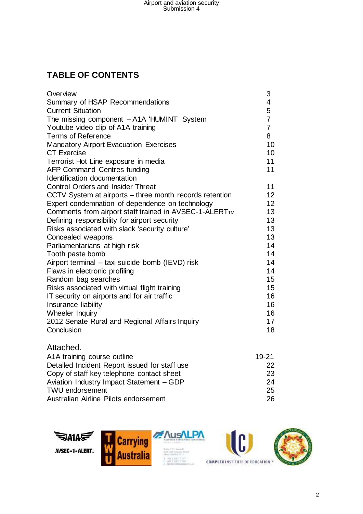## **TABLE OF CONTENTS**

| Overview                                                | 3                       |
|---------------------------------------------------------|-------------------------|
| Summary of HSAP Recommendations                         | $\overline{\mathbf{4}}$ |
| <b>Current Situation</b>                                | 5                       |
| The missing component - A1A 'HUMINT' System             | $\overline{7}$          |
| Youtube video clip of A1A training                      | $\overline{7}$          |
| <b>Terms of Reference</b>                               | 8                       |
| <b>Mandatory Airport Evacuation Exercises</b>           | 10                      |
| <b>CT Exercise</b>                                      | 10                      |
| Terrorist Hot Line exposure in media                    | 11                      |
| <b>AFP Command Centres funding</b>                      | 11                      |
| Identification documentation                            |                         |
| <b>Control Orders and Insider Threat</b>                | 11                      |
| CCTV System at airports – three month records retention | 12 <sup>2</sup>         |
| Expert condemnation of dependence on technology         | 12 <sup>2</sup>         |
| Comments from airport staff trained in AVSEC-1-ALERTTM  | 13                      |
| Defining responsibility for airport security            | 13                      |
| Risks associated with slack 'security culture'          | 13                      |
| Concealed weapons                                       | 13                      |
| Parliamentarians at high risk                           | 14                      |
| Tooth paste bomb                                        | 14                      |
| Airport terminal - taxi suicide bomb (IEVD) risk        | 14                      |
| Flaws in electronic profiling                           | 14                      |
| Random bag searches                                     | 15                      |
| Risks associated with virtual flight training           | 15                      |
| IT security on airports and for air traffic             | 16                      |
| Insurance liability                                     | 16                      |
| Wheeler Inquiry                                         | 16                      |
| 2012 Senate Rural and Regional Affairs Inquiry          | 17                      |
| Conclusion                                              | 18                      |
| Attached.                                               |                         |

| A1A training course outline                   | 19-21 |
|-----------------------------------------------|-------|
| Detailed Incident Report issued for staff use | 22    |
| Copy of staff key telephone contact sheet     | 23    |
| Aviation Industry Impact Statement - GDP      | 24    |
| <b>TWU endorsement</b>                        | 25    |
| Australian Airline Pilots endorsement         | 26.   |





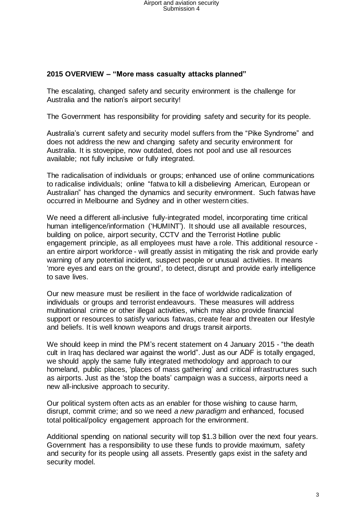#### **2015 OVERVIEW – "More mass casualty attacks planned"**

The escalating, changed safety and security environment is the challenge for Australia and the nation's airport security!

The Government has responsibility for providing safety and security for its people.

Australia's current safety and security model suffers from the "Pike Syndrome" and does not address the new and changing safety and security environment for Australia. It is stovepipe, now outdated, does not pool and use all resources available; not fully inclusive or fully integrated.

The radicalisation of individuals or groups; enhanced use of online communications to radicalise individuals; online "fatwa to kill a disbelieving American, European or Australian" has changed the dynamics and security environment. Such fatwas have occurred in Melbourne and Sydney and in other western cities.

We need a different all-inclusive fully-integrated model, incorporating time critical human intelligence/information ('HUMINT'). It should use all available resources, building on police, airport security, CCTV and the Terrorist Hotline public engagement principle, as all employees must have a role. This additional resource an entire airport workforce - will greatly assist in mitigating the risk and provide early warning of any potential incident, suspect people or unusual activities. It means 'more eyes and ears on the ground', to detect, disrupt and provide early intelligence to save lives.

Our new measure must be resilient in the face of worldwide radicalization of individuals or groups and terrorist endeavours. These measures will address multinational crime or other illegal activities, which may also provide financial support or resources to satisfy various fatwas, create fear and threaten our lifestyle and beliefs. It is well known weapons and drugs transit airports.

We should keep in mind the PM's recent statement on 4 January 2015 - "the death cult in Iraq has declared war against the world". Just as our ADF is totally engaged, we should apply the same fully integrated methodology and approach to our homeland, public places, 'places of mass gathering' and critical infrastructures such as airports. Just as the 'stop the boats' campaign was a success, airports need a new all-inclusive approach to security.

Our political system often acts as an enabler for those wishing to cause harm, disrupt, commit crime; and so we need *a new paradigm* and enhanced, focused total political/policy engagement approach for the environment.

Additional spending on national security will top \$1.3 billion over the next four years. Government has a responsibility to use these funds to provide maximum, safety and security for its people using all assets. Presently gaps exist in the safety and security model.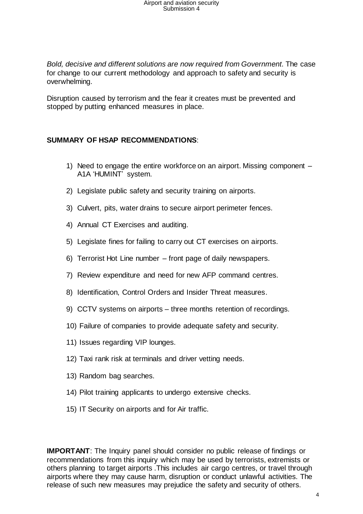*Bold, decisive and different solutions are now required from Government*. The case for change to our current methodology and approach to safety and security is overwhelming.

Disruption caused by terrorism and the fear it creates must be prevented and stopped by putting enhanced measures in place.

#### **SUMMARY OF HSAP RECOMMENDATIONS**:

- 1) Need to engage the entire workforce on an airport. Missing component A1A 'HUMINT' system.
- 2) Legislate public safety and security training on airports.
- 3) Culvert, pits, water drains to secure airport perimeter fences.
- 4) Annual CT Exercises and auditing.
- 5) Legislate fines for failing to carry out CT exercises on airports.
- 6) Terrorist Hot Line number front page of daily newspapers.
- 7) Review expenditure and need for new AFP command centres.
- 8) Identification, Control Orders and Insider Threat measures.
- 9) CCTV systems on airports three months retention of recordings.
- 10) Failure of companies to provide adequate safety and security.
- 11) Issues regarding VIP lounges.
- 12) Taxi rank risk at terminals and driver vetting needs.
- 13) Random bag searches.
- 14) Pilot training applicants to undergo extensive checks.
- 15) IT Security on airports and for Air traffic.

**IMPORTANT:** The Inquiry panel should consider no public release of findings or recommendations from this inquiry which may be used by terrorists, extremists or others planning to target airports .This includes air cargo centres, or travel through airports where they may cause harm, disruption or conduct unlawful activities. The release of such new measures may prejudice the safety and security of others.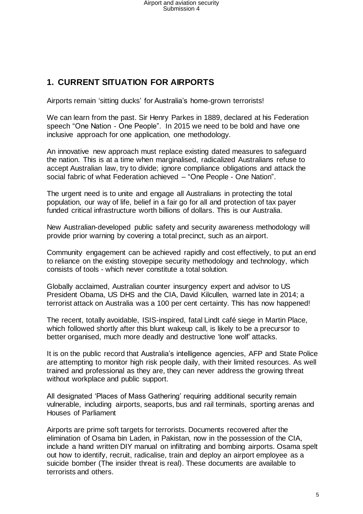### **1. CURRENT SITUATION FOR AIRPORTS**

Airports remain 'sitting ducks' for Australia's home-grown terrorists!

We can learn from the past. Sir Henry Parkes in 1889, declared at his Federation speech "One Nation - One People". In 2015 we need to be bold and have one inclusive approach for one application, one methodology.

An innovative new approach must replace existing dated measures to safeguard the nation. This is at a time when marginalised, radicalized Australians refuse to accept Australian law, try to divide; ignore compliance obligations and attack the social fabric of what Federation achieved – "One People - One Nation".

The urgent need is to unite and engage all Australians in protecting the total population, our way of life, belief in a fair go for all and protection of tax payer funded critical infrastructure worth billions of dollars. This is our Australia.

New Australian-developed public safety and security awareness methodology will provide prior warning by covering a total precinct, such as an airport.

Community engagement can be achieved rapidly and cost effectively, to put an end to reliance on the existing stovepipe security methodology and technology, which consists of tools - which never constitute a total solution.

Globally acclaimed, Australian counter insurgency expert and advisor to US President Obama, US DHS and the CIA, David Kilcullen, warned late in 2014; a terrorist attack on Australia was a 100 per cent certainty. This has now happened!

The recent, totally avoidable, ISIS-inspired, fatal Lindt café siege in Martin Place, which followed shortly after this blunt wakeup call, is likely to be a precursor to better organised, much more deadly and destructive 'lone wolf' attacks.

It is on the public record that Australia's intelligence agencies, AFP and State Police are attempting to monitor high risk people daily, with their limited resources. As well trained and professional as they are, they can never address the growing threat without workplace and public support.

All designated 'Places of Mass Gathering' requiring additional security remain vulnerable, including airports, seaports, bus and rail terminals, sporting arenas and Houses of Parliament

Airports are prime soft targets for terrorists. Documents recovered after the elimination of Osama bin Laden, in Pakistan, now in the possession of the CIA, include a hand written DIY manual on infiltrating and bombing airports. Osama spelt out how to identify, recruit, radicalise, train and deploy an airport employee as a suicide bomber (The insider threat is real). These documents are available to terrorists and others.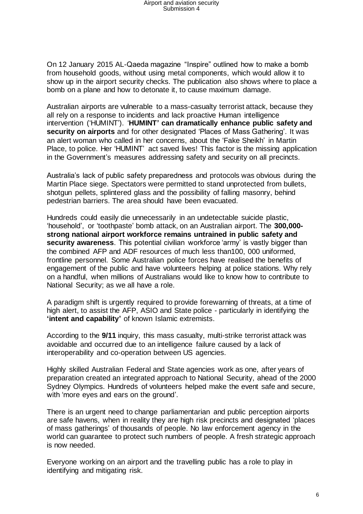On 12 January 2015 AL-Qaeda magazine "Inspire" outlined how to make a bomb from household goods, without using metal components, which would allow it to show up in the airport security checks. The publication also shows where to place a bomb on a plane and how to detonate it, to cause maximum damage.

Australian airports are vulnerable to a mass-casualty terrorist attack, because they all rely on a response to incidents and lack proactive Human intelligence intervention ('HUMINT'). '**HUMINT' can dramatically enhance public safety and security on airports** and for other designated 'Places of Mass Gathering'. It was an alert woman who called in her concerns, about the 'Fake Sheikh' in Martin Place, to police. Her 'HUMINT' act saved lives! This factor is the missing application in the Government's measures addressing safety and security on all precincts.

Australia's lack of public safety preparedness and protocols was obvious during the Martin Place siege. Spectators were permitted to stand unprotected from bullets, shotgun pellets, splintered glass and the possibility of falling masonry, behind pedestrian barriers. The area should have been evacuated.

Hundreds could easily die unnecessarily in an undetectable suicide plastic, 'household', or 'toothpaste' bomb attack, on an Australian airport. The **300,000 strong national airport workforce remains untrained in public safety and security awareness**. This potential civilian workforce 'army' is vastly bigger than the combined AFP and ADF resources of much less than100, 000 uniformed, frontline personnel. Some Australian police forces have realised the benefits of engagement of the public and have volunteers helping at police stations. Why rely on a handful, when millions of Australians would like to know how to contribute to National Security; as we all have a role.

A paradigm shift is urgently required to provide forewarning of threats, at a time of high alert, to assist the AFP, ASIO and State police - particularly in identifying the **'intent and capability'** of known Islamic extremists.

According to the **9/11** inquiry, this mass casualty, multi-strike terrorist attack was avoidable and occurred due to an intelligence failure caused by a lack of interoperability and co-operation between US agencies.

Highly skilled Australian Federal and State agencies work as one, after years of preparation created an integrated approach to National Security, ahead of the 2000 Sydney Olympics. Hundreds of volunteers helped make the event safe and secure, with 'more eyes and ears on the ground'.

There is an urgent need to change parliamentarian and public perception airports are safe havens, when in reality they are high risk precincts and designated 'places of mass gatherings' of thousands of people. No law enforcement agency in the world can guarantee to protect such numbers of people. A fresh strategic approach is now needed.

Everyone working on an airport and the travelling public has a role to play in identifying and mitigating risk.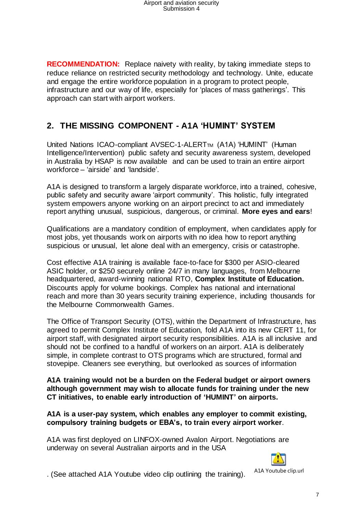**RECOMMENDATION:** Replace naivety with reality, by taking immediate steps to reduce reliance on restricted security methodology and technology. Unite, educate and engage the entire workforce population in a program to protect people, infrastructure and our way of life, especially for 'places of mass gatherings'. This approach can start with airport workers.

## **2. THE MISSING COMPONENT - A1A 'HUMINT' SYSTEM**

United Nations ICAO-compliant AVSEC-1-ALERT<sub>TM</sub> (A1A) 'HUMINT' (Human Intelligence/Intervention) public safety and security awareness system, developed in Australia by HSAP is now available and can be used to train an entire airport workforce – 'airside' and 'landside'.

A1A is designed to transform a largely disparate workforce, into a trained, cohesive, public safety and security aware 'airport community'. This holistic, fully integrated system empowers anyone working on an airport precinct to act and immediately report anything unusual, suspicious, dangerous, or criminal. **More eyes and ears**!

Qualifications are a mandatory condition of employment, when candidates apply for most jobs, yet thousands work on airports with no idea how to report anything suspicious or unusual, let alone deal with an emergency, crisis or catastrophe.

Cost effective A1A training is available face-to-face for \$300 per ASIO-cleared ASIC holder, or \$250 securely online 24/7 in many languages, from Melbourne headquartered, award-winning national RTO, **Complex Institute of Education.** Discounts apply for volume bookings. Complex has national and international reach and more than 30 years security training experience, including thousands for the Melbourne Commonwealth Games.

The Office of Transport Security (OTS), within the Department of Infrastructure, has agreed to permit Complex Institute of Education, fold A1A into its new CERT 11, for airport staff, with designated airport security responsibilities. A1A is all inclusive and should not be confined to a handful of workers on an airport. A1A is deliberately simple, in complete contrast to OTS programs which are structured, formal and stovepipe. Cleaners see everything, but overlooked as sources of information

**A1A training would not be a burden on the Federal budget or airport owners although government may wish to allocate funds for training under the new CT initiatives, to enable early introduction of 'HUMINT' on airports.**

**A1A is a user-pay system, which enables any employer to commit existing, compulsory training budgets or EBA's, to train every airport worker**.

A1A was first deployed on LINFOX-owned Avalon Airport. Negotiations are underway on several Australian airports and in the USA



. (See attached A1A Youtube video clip outlining the training).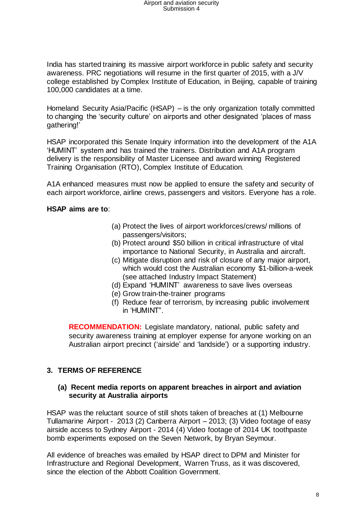India has started training its massive airport workforce in public safety and security awareness. PRC negotiations will resume in the first quarter of 2015, with a J/V college established by Complex Institute of Education, in Beijing, capable of training 100,000 candidates at a time.

Homeland Security Asia/Pacific (HSAP) – is the only organization totally committed to changing the 'security culture' on airports and other designated 'places of mass gathering!'

HSAP incorporated this Senate Inquiry information into the development of the A1A 'HUMINT' system and has trained the trainers. Distribution and A1A program delivery is the responsibility of Master Licensee and award winning Registered Training Organisation (RTO), Complex Institute of Education.

A1A enhanced measures must now be applied to ensure the safety and security of each airport workforce, airline crews, passengers and visitors. Everyone has a role.

#### **HSAP aims are to**:

- (a) Protect the lives of airport workforces/crews/ millions of passengers/visitors;
- (b) Protect around \$50 billion in critical infrastructure of vital importance to National Security, in Australia and aircraft.
- (c) Mitigate disruption and risk of closure of any major airport, which would cost the Australian economy \$1-billion-a-week (see attached Industry Impact Statement)
- (d) Expand 'HUMINT' awareness to save lives overseas
- (e) Grow train-the-trainer programs
- (f) Reduce fear of terrorism, by increasing public involvement in 'HUMINT".

**RECOMMENDATION:** Legislate mandatory, national, public safety and security awareness training at employer expense for anyone working on an Australian airport precinct ('airside' and 'landside') or a supporting industry.

#### **3. TERMS OF REFERENCE**

#### **(a) Recent media reports on apparent breaches in airport and aviation security at Australia airports**

HSAP was the reluctant source of still shots taken of breaches at (1) Melbourne Tullamarine Airport - 2013 (2) Canberra Airport – 2013; (3) Video footage of easy airside access to Sydney Airport - 2014 (4) Video footage of 2014 UK toothpaste bomb experiments exposed on the Seven Network, by Bryan Seymour.

All evidence of breaches was emailed by HSAP direct to DPM and Minister for Infrastructure and Regional Development, Warren Truss, as it was discovered, since the election of the Abbott Coalition Government.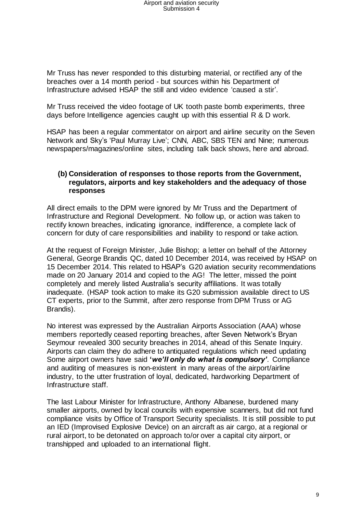Mr Truss has never responded to this disturbing material, or rectified any of the breaches over a 14 month period - but sources within his Department of Infrastructure advised HSAP the still and video evidence 'caused a stir'.

Mr Truss received the video footage of UK tooth paste bomb experiments, three days before Intelligence agencies caught up with this essential R & D work.

HSAP has been a regular commentator on airport and airline security on the Seven Network and Sky's 'Paul Murray Live'; CNN, ABC, SBS TEN and Nine; numerous newspapers/magazines/online sites, including talk back shows, here and abroad.

#### **(b) Consideration of responses to those reports from the Government, regulators, airports and key stakeholders and the adequacy of those responses**

All direct emails to the DPM were ignored by Mr Truss and the Department of Infrastructure and Regional Development. No follow up, or action was taken to rectify known breaches, indicating ignorance, indifference, a complete lack of concern for duty of care responsibilities and inability to respond or take action.

At the request of Foreign Minister, Julie Bishop; a letter on behalf of the Attorney General, George Brandis QC, dated 10 December 2014, was received by HSAP on 15 December 2014. This related to HSAP's G20 aviation security recommendations made on 20 January 2014 and copied to the AG! The letter, missed the point completely and merely listed Australia's security affiliations. It was totally inadequate. (HSAP took action to make its G20 submission available direct to US CT experts, prior to the Summit, after zero response from DPM Truss or AG Brandis).

No interest was expressed by the Australian Airports Association (AAA) whose members reportedly ceased reporting breaches, after Seven Network's Bryan Seymour revealed 300 security breaches in 2014, ahead of this Senate Inquiry. Airports can claim they do adhere to antiquated regulations which need updating Some airport owners have said **'***we'll only do what is compulsory'.* Compliance and auditing of measures is non-existent in many areas of the airport/airline industry, to the utter frustration of loyal, dedicated, hardworking Department of Infrastructure staff.

The last Labour Minister for Infrastructure, Anthony Albanese, burdened many smaller airports, owned by local councils with expensive scanners, but did not fund compliance visits by Office of Transport Security specialists. It is still possible to put an IED (Improvised Explosive Device) on an aircraft as air cargo, at a regional or rural airport, to be detonated on approach to/or over a capital city airport, or transhipped and uploaded to an international flight.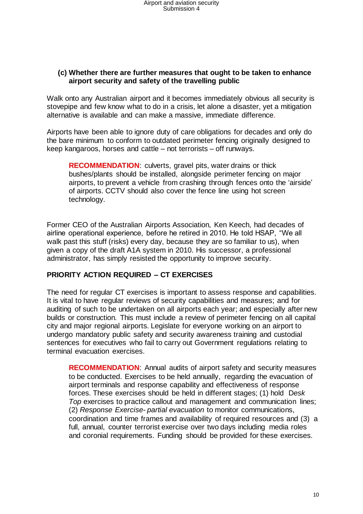#### **(c) Whether there are further measures that ought to be taken to enhance airport security and safety of the travelling public**

Walk onto any Australian airport and it becomes immediately obvious all security is stovepipe and few know what to do in a crisis, let alone a disaster, yet a mitigation alternative is available and can make a massive, immediate difference.

Airports have been able to ignore duty of care obligations for decades and only do the bare minimum to conform to outdated perimeter fencing originally designed to keep kangaroos, horses and cattle – not terrorists – off runways.

**RECOMMENDATION**: culverts, gravel pits, water drains or thick bushes/plants should be installed, alongside perimeter fencing on major airports, to prevent a vehicle from crashing through fences onto the 'airside' of airports. CCTV should also cover the fence line using hot screen technology.

Former CEO of the Australian Airports Association, Ken Keech, had decades of airline operational experience, before he retired in 2010. He told HSAP, "We all walk past this stuff (risks) every day, because they are so familiar to us), when given a copy of the draft A1A system in 2010. His successor, a professional administrator, has simply resisted the opportunity to improve security.

#### **PRIORITY ACTION REQUIRED – CT EXERCISES**

The need for regular CT exercises is important to assess response and capabilities. It is vital to have regular reviews of security capabilities and measures; and for auditing of such to be undertaken on all airports each year; and especially after new builds or construction. This must include a review of perimeter fencing on all capital city and major regional airports. Legislate for everyone working on an airport to undergo mandatory public safety and security awareness training and custodial sentences for executives who fail to carry out Government regulations relating to terminal evacuation exercises.

**RECOMMENDATION**: Annual audits of airport safety and security measures to be conducted. Exercises to be held annually, regarding the evacuation of airport terminals and response capability and effectiveness of response forces. These exercises should be held in different stages; (1) hold D*esk Top* exercises to practice callout and management and communication lines; (2) *Response Exercise- partial evacuation* to monitor communications, coordination and time frames and availability of required resources and (3) a full, annual, counter terrorist exercise over two days including media roles and coronial requirements. Funding should be provided for these exercises.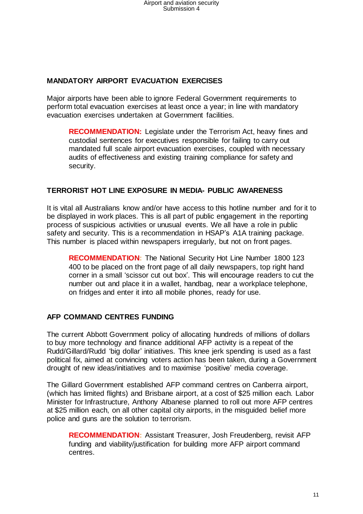#### **MANDATORY AIRPORT EVACUATION EXERCISES**

Major airports have been able to ignore Federal Government requirements to perform total evacuation exercises at least once a year; in line with mandatory evacuation exercises undertaken at Government facilities.

**RECOMMENDATION:** Legislate under the Terrorism Act, heavy fines and custodial sentences for executives responsible for failing to carry out mandated full scale airport evacuation exercises, coupled with necessary audits of effectiveness and existing training compliance for safety and security.

#### **TERRORIST HOT LINE EXPOSURE IN MEDIA- PUBLIC AWARENESS**

It is vital all Australians know and/or have access to this hotline number and for it to be displayed in work places. This is all part of public engagement in the reporting process of suspicious activities or unusual events. We all have a role in public safety and security. This is a recommendation in HSAP's A1A training package. This number is placed within newspapers irregularly, but not on front pages.

**RECOMMENDATION:** The National Security Hot Line Number 1800 123 400 to be placed on the front page of all daily newspapers, top right hand corner in a small 'scissor cut out box'. This will encourage readers to cut the number out and place it in a wallet, handbag, near a workplace telephone, on fridges and enter it into all mobile phones, ready for use.

#### **AFP COMMAND CENTRES FUNDING**

The current Abbott Government policy of allocating hundreds of millions of dollars to buy more technology and finance additional AFP activity is a repeat of the Rudd/Gillard/Rudd 'big dollar' initiatives. This knee jerk spending is used as a fast political fix, aimed at convincing voters action has been taken, during a Government drought of new ideas/initiatives and to maximise 'positive' media coverage.

The Gillard Government established AFP command centres on Canberra airport, (which has limited flights) and Brisbane airport, at a cost of \$25 million each. Labor Minister for Infrastructure, Anthony Albanese planned to roll out more AFP centres at \$25 million each, on all other capital city airports, in the misguided belief more police and guns are the solution to terrorism.

**RECOMMENDATION:** Assistant Treasurer, Josh Freudenberg, revisit AFP funding and viability/justification for building more AFP airport command centres.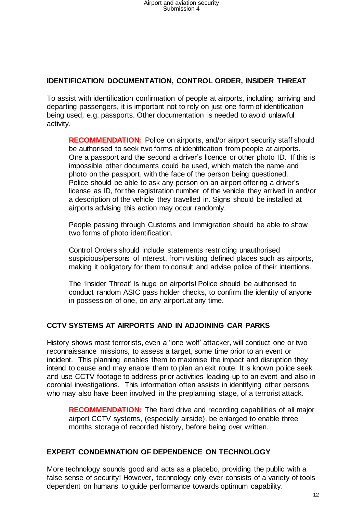#### **IDENTIFICATION DOCUMENTATION, CONTROL ORDER, INSIDER THREAT**

To assist with identification confirmation of people at airports, including arriving and departing passengers, it is important not to rely on just one form of identification being used, e.g. passports. Other documentation is needed to avoid unlawful activity.

**RECOMMENDATION:** Police on airports, and/or airport security staff should be authorised to seek two forms of identification from people at airports. One a passport and the second a driver's licence or other photo ID. If this is impossible other documents could be used, which match the name and photo on the passport, with the face of the person being questioned. Police should be able to ask any person on an airport offering a driver's license as ID, for the registration number of the vehicle they arrived in and/or a description of the vehicle they travelled in. Signs should be installed at airports advising this action may occur randomly.

People passing through Customs and Immigration should be able to show two forms of photo identification.

Control Orders should include statements restricting unauthorised suspicious/persons of interest, from visiting defined places such as airports, making it obligatory for them to consult and advise police of their intentions.

The 'Insider Threat' is huge on airports! Police should be authorised to conduct random ASIC pass holder checks, to confirm the identity of anyone in possession of one, on any airport.at any time.

#### **CCTV SYSTEMS AT AIRPORTS AND IN ADJOINING CAR PARKS**

History shows most terrorists, even a 'lone wolf' attacker, will conduct one or two reconnaissance missions, to assess a target, some time prior to an event or incident. This planning enables them to maximise the impact and disruption they intend to cause and may enable them to plan an exit route. It is known police seek and use CCTV footage to address prior activities leading up to an event and also in coronial investigations. This information often assists in identifying other persons who may also have been involved in the preplanning stage, of a terrorist attack.

**RECOMMENDATION:** The hard drive and recording capabilities of all major airport CCTV systems, (especially airside), be enlarged to enable three months storage of recorded history, before being over written.

#### **EXPERT CONDEMNATION OF DEPENDENCE ON TECHNOLOGY**

More technology sounds good and acts as a placebo, providing the public with a false sense of security! However, technology only ever consists of a variety of tools dependent on humans to guide performance towards optimum capability.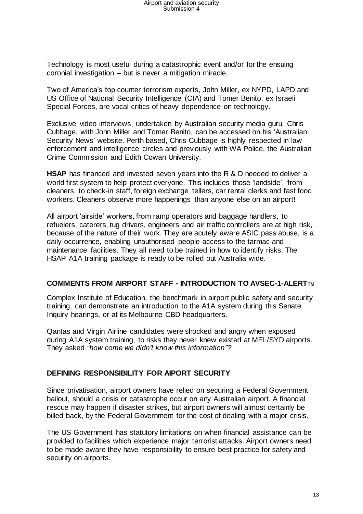Technology is most useful during a catastrophic event and/or for the ensuing coronial investigation – but is never a mitigation miracle.

Two of America's top counter terrorism experts, John Miller, ex NYPD, LAPD and US Office of National Security Intelligence (CIA) and Tomer Benito, ex Israeli Special Forces, are vocal critics of heavy dependence on technology.

Exclusive video interviews, undertaken by Australian security media guru, Chris Cubbage, with John Miller and Tomer Benito, can be accessed on his 'Australian Security News' website. Perth based, Chris Cubbage is highly respected in law enforcement and intelligence circles and previously with WA Police, the Australian Crime Commission and Edith Cowan University.

**HSAP** has financed and invested seven years into the R & D needed to deliver a world first system to help protect everyone. This includes those 'landside', from cleaners, to check-in staff, foreign exchange tellers, car rental clerks and fast food workers. Cleaners observe more happenings than anyone else on an airport!

All airport 'airside' workers, from ramp operators and baggage handlers, to refuelers, caterers, tug drivers, engineers and air traffic controllers are at high risk, because of the nature of their work. They are acutely aware ASIC pass abuse, is a daily occurrence, enabling unauthorised people access to the tarmac and maintenance facilities. They all need to be trained in how to identify risks. The HSAP A1A training package is ready to be rolled out Australia wide.

#### **COMMENTS FROM AIRPORT STAFF - INTRODUCTION TO AVSEC-1-ALERTTM**

Complex Institute of Education, the benchmark in airport public safety and security training, can demonstrate an introduction to the A1A system during this Senate Inquiry hearings, or at its Melbourne CBD headquarters.

Qantas and Virgin Airline candidates were shocked and angry when exposed during A1A system training, to risks they never knew existed at MEL/SYD airports. They asked *"how come we didn't know this information"?*

#### **DEFINING RESPONSIBILITY FOR AIPORT SECURITY**

Since privatisation, airport owners have relied on securing a Federal Government bailout, should a crisis or catastrophe occur on any Australian airport. A financial rescue may happen if disaster strikes, but airport owners will almost certainly be billed back, by the Federal Government for the cost of dealing with a major crisis.

The US Government has statutory limitations on when financial assistance can be provided to facilities which experience major terrorist attacks. Airport owners need to be made aware they have responsibility to ensure best practice for safety and security on airports.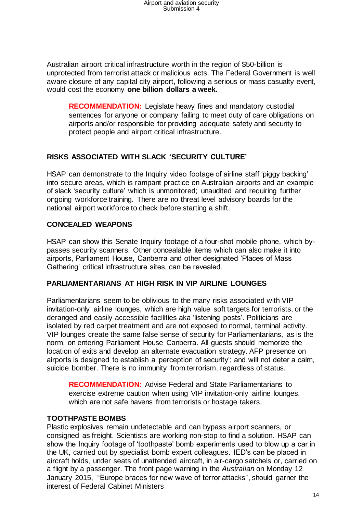Australian airport critical infrastructure worth in the region of \$50-billion is unprotected from terrorist attack or malicious acts. The Federal Government is well aware closure of any capital city airport, following a serious or mass casualty event, would cost the economy **one billion dollars a week.**

**RECOMMENDATION:** Legislate heavy fines and mandatory custodial sentences for anyone or company failing to meet duty of care obligations on airports and/or responsible for providing adequate safety and security to protect people and airport critical infrastructure.

#### **RISKS ASSOCIATED WITH SLACK 'SECURITY CULTURE'**

HSAP can demonstrate to the Inquiry video footage of airline staff 'piggy backing' into secure areas, which is rampant practice on Australian airports and an example of slack 'security culture' which is unmonitored; unaudited and requiring further ongoing workforce training. There are no threat level advisory boards for the national airport workforce to check before starting a shift.

#### **CONCEALED WEAPONS**

HSAP can show this Senate Inquiry footage of a four-shot mobile phone, which bypasses security scanners. Other concealable items which can also make it into airports, Parliament House, Canberra and other designated 'Places of Mass Gathering' critical infrastructure sites, can be revealed.

#### **PARLIAMENTARIANS AT HIGH RISK IN VIP AIRLINE LOUNGES**

Parliamentarians seem to be oblivious to the many risks associated with VIP invitation-only airline lounges, which are high value soft targets for terrorists, or the deranged and easily accessible facilities aka 'listening posts'. Politicians are isolated by red carpet treatment and are not exposed to normal, terminal activity. VIP lounges create the same false sense of security for Parliamentarians, as is the norm, on entering Parliament House Canberra. All guests should memorize the location of exits and develop an alternate evacuation strategy. AFP presence on airports is designed to establish a 'perception of security'; and will not deter a calm, suicide bomber. There is no immunity from terrorism, regardless of status.

**RECOMMENDATION:** Advise Federal and State Parliamentarians to exercise extreme caution when using VIP invitation-only airline lounges, which are not safe havens from terrorists or hostage takers.

#### **TOOTHPASTE BOMBS**

Plastic explosives remain undetectable and can bypass airport scanners, or consigned as freight. Scientists are working non-stop to find a solution. HSAP can show the Inquiry footage of 'toothpaste' bomb experiments used to blow up a car in the UK, carried out by specialist bomb expert colleagues. IED's can be placed in aircraft holds, under seats of unattended aircraft, in air-cargo satchels or, carried on a flight by a passenger. The front page warning in the *Australian* on Monday 12 January 2015, "Europe braces for new wave of terror attacks", should garner the interest of Federal Cabinet Ministers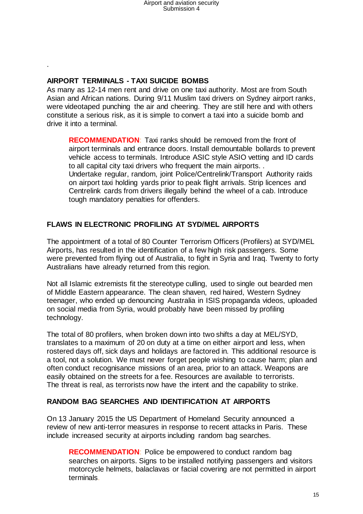#### **AIRPORT TERMINALS - TAXI SUICIDE BOMBS**

.

As many as 12-14 men rent and drive on one taxi authority. Most are from South Asian and African nations. During 9/11 Muslim taxi drivers on Sydney airport ranks, were videotaped punching the air and cheering. They are still here and with others constitute a serious risk, as it is simple to convert a taxi into a suicide bomb and drive it into a terminal.

**RECOMMENDATION**: Taxi ranks should be removed from the front of airport terminals and entrance doors. Install demountable bollards to prevent vehicle access to terminals. Introduce ASIC style ASIO vetting and ID cards to all capital city taxi drivers who frequent the main airports. . Undertake regular, random, joint Police/Centrelink/Transport Authority raids on airport taxi holding yards prior to peak flight arrivals. Strip licences and Centrelink cards from drivers illegally behind the wheel of a cab. Introduce tough mandatory penalties for offenders.

#### **FLAWS IN ELECTRONIC PROFILING AT SYD/MEL AIRPORTS**

The appointment of a total of 80 Counter Terrorism Officers (Profilers) at SYD/MEL Airports, has resulted in the identification of a few high risk passengers. Some were prevented from flying out of Australia, to fight in Syria and Iraq. Twenty to forty Australians have already returned from this region.

Not all Islamic extremists fit the stereotype culling, used to single out bearded men of Middle Eastern appearance. The clean shaven, red haired, Western Sydney teenager, who ended up denouncing Australia in ISIS propaganda videos, uploaded on social media from Syria, would probably have been missed by profiling technology.

The total of 80 profilers, when broken down into two shifts a day at MEL/SYD, translates to a maximum of 20 on duty at a time on either airport and less, when rostered days off, sick days and holidays are factored in. This additional resource is a tool, not a solution. We must never forget people wishing to cause harm; plan and often conduct recognisance missions of an area, prior to an attack. Weapons are easily obtained on the streets for a fee. Resources are available to terrorists. The threat is real, as terrorists now have the intent and the capability to strike.

#### **RANDOM BAG SEARCHES AND IDENTIFICATION AT AIRPORTS**

On 13 January 2015 the US Department of Homeland Security announced a review of new anti-terror measures in response to recent attacks in Paris. These include increased security at airports including random bag searches.

**RECOMMENDATION**: Police be empowered to conduct random bag searches on airports. Signs to be installed notifying passengers and visitors motorcycle helmets, balaclavas or facial covering are not permitted in airport terminals.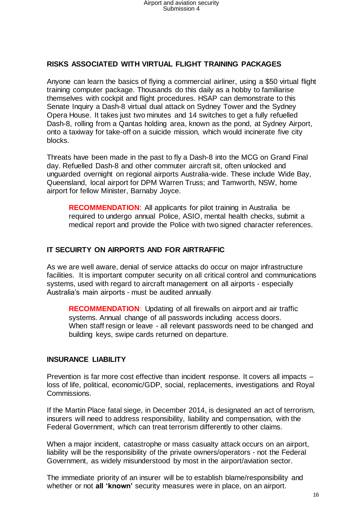#### **RISKS ASSOCIATED WITH VIRTUAL FLIGHT TRAINING PACKAGES**

Anyone can learn the basics of flying a commercial airliner, using a \$50 virtual flight training computer package. Thousands do this daily as a hobby to familiarise themselves with cockpit and flight procedures. HSAP can demonstrate to this Senate Inquiry a Dash-8 virtual dual attack on Sydney Tower and the Sydney Opera House. It takes just two minutes and 14 switches to get a fully refuelled Dash-8, rolling from a Qantas holding area, known as the pond, at Sydney Airport, onto a taxiway for take-off on a suicide mission, which would incinerate five city blocks.

Threats have been made in the past to fly a Dash-8 into the MCG on Grand Final day. Refuelled Dash-8 and other commuter aircraft sit, often unlocked and unguarded overnight on regional airports Australia-wide. These include Wide Bay, Queensland, local airport for DPM Warren Truss; and Tamworth, NSW, home airport for fellow Minister, Barnaby Joyce.

**RECOMMENDATION**: All applicants for pilot training in Australia be required to undergo annual Police, ASIO, mental health checks, submit a medical report and provide the Police with two signed character references.

#### **IT SECUIRTY ON AIRPORTS AND FOR AIRTRAFFIC**

As we are well aware, denial of service attacks do occur on major infrastructure facilities. It is important computer security on all critical control and communications systems, used with regard to aircraft management on all airports - especially Australia's main airports - must be audited annually.

**RECOMMENDATION:** Updating of all firewalls on airport and air traffic systems. Annual change of all passwords including access doors. When staff resign or leave - all relevant passwords need to be changed and building keys, swipe cards returned on departure.

#### **INSURANCE LIABILITY**

Prevention is far more cost effective than incident response. It covers all impacts – loss of life, political, economic/GDP, social, replacements, investigations and Royal Commissions.

If the Martin Place fatal siege, in December 2014, is designated an act of terrorism, insurers will need to address responsibility, liability and compensation, with the Federal Government, which can treat terrorism differently to other claims.

When a major incident, catastrophe or mass casualty attack occurs on an airport, liability will be the responsibility of the private owners/operators - not the Federal Government, as widely misunderstood by most in the airport/aviation sector.

The immediate priority of an insurer will be to establish blame/responsibility and whether or not **all 'known'** security measures were in place, on an airport.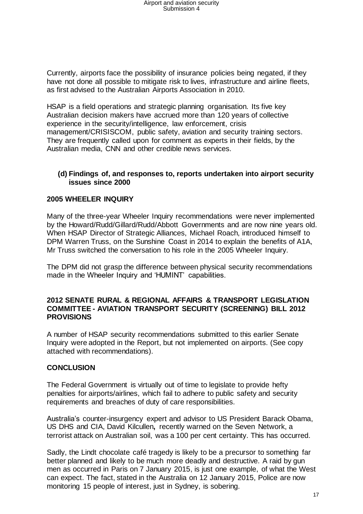Currently, airports face the possibility of insurance policies being negated, if they have not done all possible to mitigate risk to lives, infrastructure and airline fleets, as first advised to the Australian Airports Association in 2010.

HSAP is a field operations and strategic planning organisation. Its five key Australian decision makers have accrued more than 120 years of collective experience in the security/intelligence, law enforcement, crisis management/CRISISCOM, public safety, aviation and security training sectors. They are frequently called upon for comment as experts in their fields, by the Australian media, CNN and other credible news services.

#### **(d) Findings of, and responses to, reports undertaken into airport security issues since 2000**

#### **2005 WHEELER INQUIRY**

Many of the three-year Wheeler Inquiry recommendations were never implemented by the Howard/Rudd/Gillard/Rudd/Abbott Governments and are now nine years old. When HSAP Director of Strategic Alliances, Michael Roach, introduced himself to DPM Warren Truss, on the Sunshine Coast in 2014 to explain the benefits of A1A, Mr Truss switched the conversation to his role in the 2005 Wheeler Inquiry.

The DPM did not grasp the difference between physical security recommendations made in the Wheeler Inquiry and 'HUMINT' capabilities.

#### **2012 SENATE RURAL & REGIONAL AFFAIRS & TRANSPORT LEGISLATION COMMITTEE - AVIATION TRANSPORT SECURITY (SCREENING) BILL 2012 PROVISIONS**

A number of HSAP security recommendations submitted to this earlier Senate Inquiry were adopted in the Report, but not implemented on airports. (See copy attached with recommendations).

#### **CONCLUSION**

The Federal Government is virtually out of time to legislate to provide hefty penalties for airports/airlines, which fail to adhere to public safety and security requirements and breaches of duty of care responsibilities.

Australia's counter-insurgency expert and advisor to US President Barack Obama, US DHS and CIA, David Kilcullen**,** recently warned on the Seven Network, a terrorist attack on Australian soil, was a 100 per cent certainty. This has occurred.

Sadly, the Lindt chocolate café tragedy is likely to be a precursor to something far better planned and likely to be much more deadly and destructive. A raid by gun men as occurred in Paris on 7 January 2015, is just one example, of what the West can expect. The fact, stated in the Australia on 12 January 2015, Police are now monitoring 15 people of interest, just in Sydney, is sobering.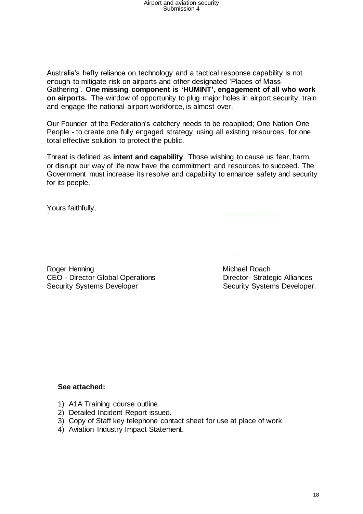Australia's hefty reliance on technology and a tactical response capability is not enough to mitigate risk on airports and other designated 'Places of Mass Gathering". **One missing component is 'HUMINT', engagement of all who work on airports.** The window of opportunity to plug major holes in airport security, train and engage the national airport workforce, is almost over.

Our Founder of the Federation's catchcry needs to be reapplied; One Nation One People - to create one fully engaged strategy, using all existing resources, for one total effective solution to protect the public.

Threat is defined as **intent and capability**. Those wishing to cause us fear, harm, or disrupt our way of life now have the commitment and resources to succeed. The Government must increase its resolve and capability to enhance safety and security for its people.

Yours faithfully,

Roger Henning **Michael Roach** CEO - Director Global Operations Director- Strategic Alliances Security Systems Developer Security Systems Developer.

#### **See attached:**

- 1) A1A Training course outline.
- 2) Detailed Incident Report issued.
- 3) Copy of Staff key telephone contact sheet for use at place of work.
- 4) Aviation Industry Impact Statement.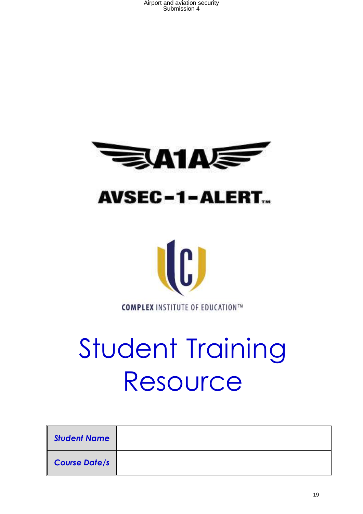





# Student Training Resource

| <b>Student Name</b>  |  |
|----------------------|--|
| <b>Course Date/s</b> |  |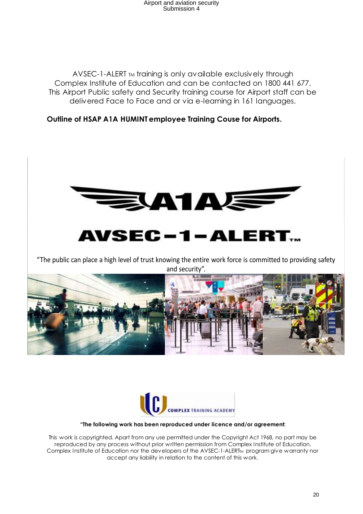AVSEC-1-ALERT TM training is only available exclusively through Complex Institute of Education and can be contacted on 1800 441 677. This Airport Public safety and Security training course for Airport staff can be delivered Face to Face and or via e-learning in 161 languages.

#### **Outline of HSAP A1A HUMINT employee Training Couse for Airports.**



"The public can place a high level of trust knowing the entire work force is committed to providing safety and security".





#### **"The following work has been reproduced under licence and/or agreement:**

This work is copyrighted. Apart from any use permitted under the Copyright Act 1968, no part may be reproduced by any process without prior written permission from Complex Institute of Education. Complex Institute of Education nor the developers of the AVSEC-1-ALERTM program give warranty nor accept any liability in relation to the content of this work.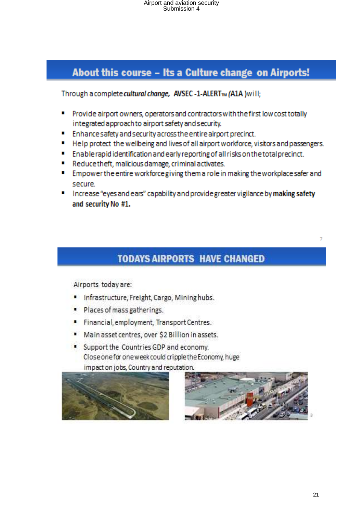## About this course - Its a Culture change on Airports!

Through a complete cultural change, AVSEC -1-ALERT<sub>m</sub> (A1A ) will;

- Provide airport owners, operators and contractors with the first low cost totally integrated approach to airport safety and security.
- " Enhance safety and security across the entire airport precinct.
- " Help protect the wellbeing and lives of all airport workforce, visitors and passengers.
- " Enable rapid identification and early reporting of all risks on the total precinct.
- " Reduce theft, malicious damage, criminal activates.
- Empower the entire workforce giving them a role in making the workplace safer and secure.
- Increase "eyes and ears" capability and provide greater vigilance by making safety and security No #1.

# **TODAYS AIRPORTS HAVE CHANGED**

Airports today are:

- Infrastructure, Freight, Cargo, Mining hubs.
- Places of mass gatherings.
- Financial, employment, Transport Centres.
- $\blacksquare$ Main asset centres, over \$2 Billion in assets.
- Support the Countries GDP and economy. Close one for one week could cripple the Economy, huge impact on jobs, Country and reputation.



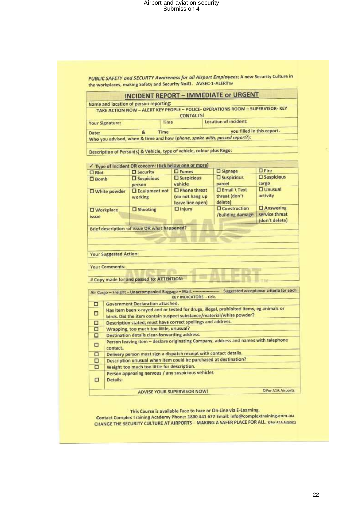PUBLIC SAFETY and SECURTY Awareness for all Airport Employees; A new Security Culture in the workplaces, making Safety and Security No#1. AVSEC-1-ALERTIM

|                                                        | Name and location of person reporting:        |                                                                           |                                                                                                              |                      |  |
|--------------------------------------------------------|-----------------------------------------------|---------------------------------------------------------------------------|--------------------------------------------------------------------------------------------------------------|----------------------|--|
|                                                        |                                               | <b>CONTACTS!</b>                                                          | TAKE ACTION NOW - ALERT KEY PEOPLE - POLICE- OPERATIONS ROOM - SUPERVISOR- KEY                               |                      |  |
| <b>Your Signature:</b>                                 | <b>Location of incident:</b><br>Time          |                                                                           |                                                                                                              |                      |  |
| Date:                                                  | Time<br>84                                    |                                                                           | you filled in this report.                                                                                   |                      |  |
|                                                        |                                               | Who you advised, when & time and how (phone, spoke with, passed report?): |                                                                                                              |                      |  |
|                                                        |                                               | Description of Person(s) & Vehicle, type of vehicle, colour plus Rego:    |                                                                                                              |                      |  |
|                                                        |                                               | ✔ Type of Incident OR concern: (tick below one or more)                   |                                                                                                              |                      |  |
|                                                        | <b>C</b> Security                             | $\square$ Fumes                                                           | □ Signage                                                                                                    | $\square$ Fire       |  |
| $\square$ Riot<br>$\square$ Bomb                       | $\square$ Suspicious                          | <b>O</b> Suspicious                                                       | <b>D</b> Suspicious                                                                                          | $\square$ Suspicious |  |
|                                                        | person                                        | vehicle                                                                   | parcel                                                                                                       | cargo                |  |
| <b>O</b> White powder                                  | <b>D</b> Equipment not                        | $\Box$ Phone threat                                                       | <b>DEmail \Text</b>                                                                                          | <b>O</b> Unusual     |  |
|                                                        | working                                       | (do not hang up                                                           | threat (don't                                                                                                | activity             |  |
|                                                        |                                               | leave line open)                                                          | deletel                                                                                                      |                      |  |
| <b>U</b> Workplace                                     | $\square$ Shooting                            | $\Box$ Injury                                                             | <b>O</b> Construction                                                                                        | $\square$ Answering  |  |
| issue                                                  |                                               |                                                                           | /building damage                                                                                             | service threat       |  |
|                                                        |                                               |                                                                           |                                                                                                              | (don't delete)       |  |
|                                                        |                                               |                                                                           |                                                                                                              |                      |  |
| <b>Your Suggested Action:</b><br><b>Your Comments:</b> | # Copy made for and passed to: ATTENTION:     |                                                                           | Air Cargo - Freight - Unaccompanied Baggage - Mail. ----------------- Suggested acceptance criteria for each |                      |  |
|                                                        |                                               | <b>KEY INDICATORS - tick.</b>                                             |                                                                                                              |                      |  |
| □                                                      | Government Declaration attached.              |                                                                           |                                                                                                              |                      |  |
| о                                                      |                                               | birds. Did the item contain suspect substance/material/white powder?      | Has item been x-rayed and or tested for drugs, illegal, prohibited items, eg animals or                      |                      |  |
| о                                                      |                                               | Description stated; must have correct spellings and address.              |                                                                                                              |                      |  |
| о                                                      | Wrapping, too much too little, unusual?       |                                                                           |                                                                                                              |                      |  |
| □                                                      | Destination details clear-forwarding address. |                                                                           |                                                                                                              |                      |  |
| □<br>contact.                                          |                                               |                                                                           | Person leaving item - declare originating Company, address and names with telephone                          |                      |  |
| □                                                      |                                               | Delivery person must sign a dispatch receipt with contact details.        |                                                                                                              |                      |  |
| о                                                      |                                               | Description unusual when item could be purchased at destination?          |                                                                                                              |                      |  |
| α                                                      | Weight too much too little for description.   |                                                                           |                                                                                                              |                      |  |
| Details:<br>□                                          |                                               | Person appearing nervous / any suspicious vehicles                        |                                                                                                              |                      |  |

This Course is available Face to Face or On-Line via E-Learning.

Contact Complex Training Academy Phone: 1800 441 677 Email: info@complextraining.com.au **CHANGE THE SECURITY CULTURE AT AIRPORTS - MAKING A SAFER PLACE FOR ALL. DHor ALA Airports**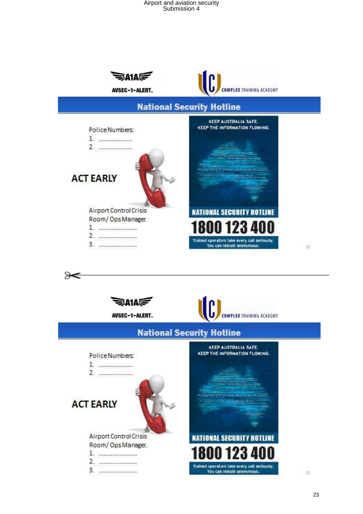

**NATIONAL SECURITY HOTLINE** 

Trained operators take every call seriously.

You can remain anonymous.

Airport Control Crisis

Room/OpsManager. 

 $15<sub>1</sub>$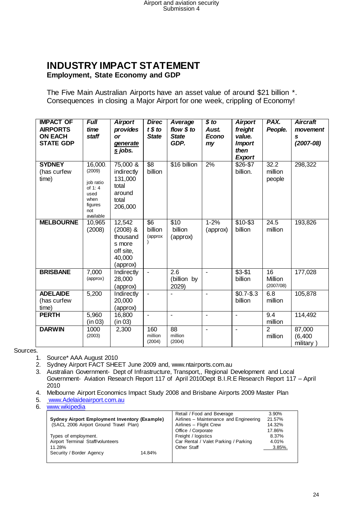#### **INDUSTRY IMPACT STATEMENT Employment, State Economy and GDP**

The Five Main Australian Airports have an asset value of around \$21 billion \*. Consequences in closing a Major Airport for one week, crippling of Economy!

| <b>IMPACT OF</b><br><b>AIRPORTS</b><br><b>ON EACH</b><br><b>STATE GDP</b> | <b>Full</b><br>time<br>staff                                                            | <b>Airport</b><br>provides<br><b>or</b><br>generate<br>s jobs.                | <b>Direc</b><br>t \$ to<br><b>State</b> | Average<br>flow \$ to<br><b>State</b><br>GDP. | $$$ to<br>Aust.<br><b>Econo</b><br>my | <b>Airport</b><br>freight<br>value.<br><b>Import</b><br>then<br><b>Export</b> | PAX.<br>People.            | <b>Aircraft</b><br>movement<br>s<br>$(2007 - 08)$ |
|---------------------------------------------------------------------------|-----------------------------------------------------------------------------------------|-------------------------------------------------------------------------------|-----------------------------------------|-----------------------------------------------|---------------------------------------|-------------------------------------------------------------------------------|----------------------------|---------------------------------------------------|
| <b>SYDNEY</b><br>(has curfew<br>time)                                     | 16,000.<br>(2009)<br>job ratio<br>of 1:4<br>used<br>when<br>figures<br>not<br>available | 75,000 &<br>indirectly<br>131,000<br>total<br>around<br>total<br>206,000      | \$8<br>billion                          | \$16 billion                                  | 2%                                    | \$26-\$7<br>billion.                                                          | 32.2<br>million<br>people  | 298,322                                           |
| <b>MELBOURNE</b>                                                          | 10,965<br>(2008)                                                                        | 12,542<br>$(2008)$ &<br>thousand<br>s more<br>off site,<br>40,000<br>(approx) | \$6<br>billion<br>(approx               | \$10<br>billion<br>(approx)                   | $1 - 2%$<br>(approx)                  | \$10-\$3<br>billion                                                           | 24.5<br>million            | 193,826                                           |
| <b>BRISBANE</b>                                                           | 7,000<br>(approx)                                                                       | Indirectly<br>28,000<br>(approx)                                              | $\blacksquare$                          | 2.6<br>(billion by<br>2029)                   | $\blacksquare$                        | $$3 - $1$<br>billion                                                          | 16<br>Million<br>(2007/08) | 177,028                                           |
| <b>ADELAIDE</b><br>(has curfew<br>time)                                   | 5,200                                                                                   | Indirectly<br>20,000<br>(approx)                                              | $\blacksquare$                          |                                               | $\blacksquare$                        | $$0.7 - $.3$<br>billion                                                       | 6.8<br>million             | 105,878                                           |
| <b>PERTH</b>                                                              | 5,960<br>(in 03)                                                                        | 16,800<br>(in 03)                                                             | $\blacksquare$                          | $\blacksquare$                                | $\blacksquare$                        | $\overline{\phantom{a}}$                                                      | 9.4<br>million             | 114,492                                           |
| <b>DARWIN</b>                                                             | 1000<br>(2003)                                                                          | 2,300                                                                         | 160<br>million<br>(2004)                | 88<br>million<br>(2004)                       | $\blacksquare$                        | $\blacksquare$                                                                | $\overline{2}$<br>million  | 87,000<br>(6, 400)<br>military)                   |

Sources.

- 1. Source\* AAA August 2010
- 2. Sydney Airport FACT SHEET June 2009 and, www.ntairports.com.au

3. Australian Government- Dept of Infrastructure, Transport,, Regional Development and Local Government- Aviation Research Report 117 of April 2010Dept B.I.R.E Research Report 117 – April 2010

4. Melbourne Airport Economics Impact Study 2008 and Brisbane Airports 2009 Master Plan

- 5. [www.Adelaideairport.com.au](http://www.adelaideairport.com.au/)
- 6. [www.wikipedia](http://www.wikipedia/)

|                                                      |        | Retail / Food and Beverage             | 3.90%      |
|------------------------------------------------------|--------|----------------------------------------|------------|
| <b>Sydney Airport Employment Inventory (Example)</b> |        | Airlines - Maintenance and Engineering | 21.57%     |
| (SACL 2006 Airport Ground Travel Plan)               |        | Airlines - Flight Crew                 | 14.32%     |
|                                                      |        | Office / Corporate                     | 17.86%     |
| Types of employment.                                 |        | Freight / logistics                    | 8.37%      |
| Airport Terminal Staff/volunteers                    |        | Car Rental / Valet Parking / Parking   | 4.01%      |
| 11.28%                                               |        | Other Staff                            | $3.85\%$ . |
| Security / Border Agency                             | 14.84% |                                        |            |
|                                                      |        |                                        |            |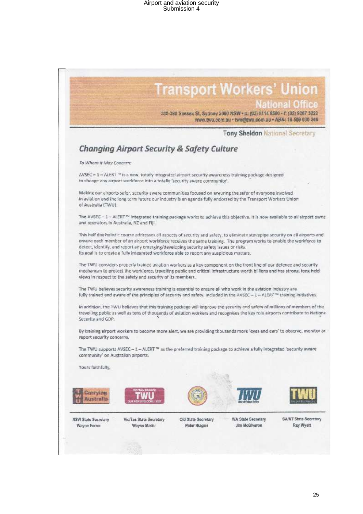

The TWU believes security awareness training is essential to ensure all who work in the aviation industry are fully trained and aware of the principles of security and safety, included in the AVSEC - 1 - ALERT <sup>no</sup> training initiatives.

In addition, the TWU believes that this training package will improve the security and safety of millions of members of the travelling public as well as tens of thousands of aviation workers and recognises the key role airports contribute to Nationa Security and GDP.

By training airport workers to become more alert, we are providing thousands more 'eyes and ears' to observe, monitor ar report security concerns.

The TWU supports AVSEC - 1 - ALERT <sup>10</sup> as the preferred training package to achieve a fully integrated 'security aware community' on Australian airports.

Yours faithfully,











NSW State Secretary Wayne Forno

Vic/Tas State Secretary Wayne Mader

Qld State Secretary Peter Biagini

**WA State Secretary Jim McGiveron** 

SA/NT State Secretary Ray Wyatt